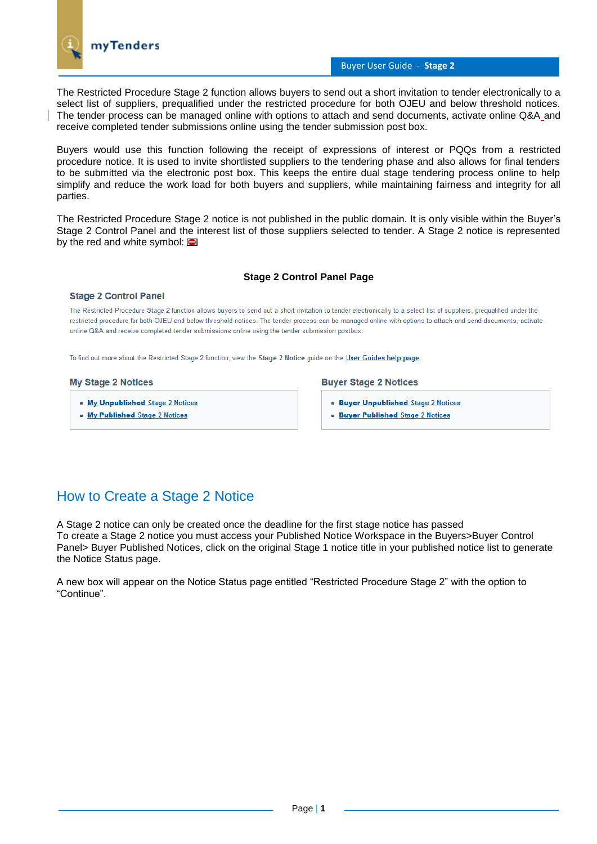

## Buyer User Guide - **Stage 2**

The Restricted Procedure Stage 2 function allows buyers to send out a short invitation to tender electronically to a select list of suppliers, prequalified under the restricted procedure for both OJEU and below threshold notices. The tender process can be managed online with options to attach and send documents, activate online Q&A and receive completed tender submissions online using the tender submission post box.

Buyers would use this function following the receipt of expressions of interest or PQQs from a restricted procedure notice. It is used to invite shortlisted suppliers to the tendering phase and also allows for final tenders to be submitted via the electronic post box. This keeps the entire dual stage tendering process online to help simplify and reduce the work load for both buyers and suppliers, while maintaining fairness and integrity for all parties.

The Restricted Procedure Stage 2 notice is not published in the public domain. It is only visible within the Buyer's Stage 2 Control Panel and the interest list of those suppliers selected to tender. A Stage 2 notice is represented by the red and white symbol:  $\blacksquare$ 

## **Stage 2 Control Panel Page**

#### **Stage 2 Control Panel**

The Restricted Procedure Stage 2 function allows buyers to send out a short invitation to tender electronically to a select list of suppliers, pregualified under the restricted procedure for both OJEU and below threshold notices. The tender process can be managed online with options to attach and send documents, activate online Q&A and receive completed tender submissions online using the tender submission postbox

To find out more about the Restricted Stage 2 function, view the Stage 2 Notice guide on the User Guides help page.

#### **My Stage 2 Notices**

- My Unpublished Stage 2 Notices
- My Published Stage 2 Notices

#### **Buyer Stage 2 Notices**

- **Buyer Unpublished Stage 2 Notices**
- **Buyer Published Stage 2 Notices**

# How to Create a Stage 2 Notice

A Stage 2 notice can only be created once the deadline for the first stage notice has passed To create a Stage 2 notice you must access your Published Notice Workspace in the Buyers>Buyer Control Panel> Buyer Published Notices, click on the original Stage 1 notice title in your published notice list to generate the Notice Status page.

A new box will appear on the Notice Status page entitled "Restricted Procedure Stage 2" with the option to "Continue".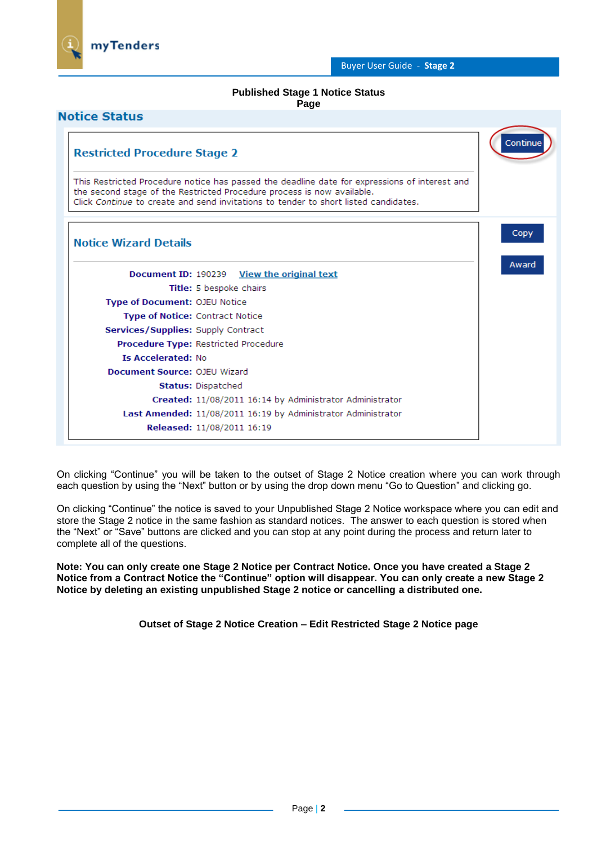

### **Published Stage 1 Notice Status Page**

| <b>Restricted Procedure Stage 2</b>                                                                                                                                                                                                                            | Continue |
|----------------------------------------------------------------------------------------------------------------------------------------------------------------------------------------------------------------------------------------------------------------|----------|
| This Restricted Procedure notice has passed the deadline date for expressions of interest and<br>the second stage of the Restricted Procedure process is now available.<br>Click Continue to create and send invitations to tender to short listed candidates. |          |
| <b>Notice Wizard Details</b>                                                                                                                                                                                                                                   | Copy     |
| Document ID: 190239 <u>View the original text</u>                                                                                                                                                                                                              | Award    |
| Title: 5 bespoke chairs                                                                                                                                                                                                                                        |          |
| <b>Type of Document: OJEU Notice</b>                                                                                                                                                                                                                           |          |
| <b>Type of Notice: Contract Notice</b>                                                                                                                                                                                                                         |          |
| Services/Supplies: Supply Contract                                                                                                                                                                                                                             |          |
| Procedure Type: Restricted Procedure                                                                                                                                                                                                                           |          |
| <b>Is Accelerated: No</b>                                                                                                                                                                                                                                      |          |
| Document Source: OJEU Wizard                                                                                                                                                                                                                                   |          |
| <b>Status: Dispatched</b>                                                                                                                                                                                                                                      |          |
| Created: 11/08/2011 16:14 by Administrator Administrator                                                                                                                                                                                                       |          |
| Last Amended: 11/08/2011 16:19 by Administrator Administrator                                                                                                                                                                                                  |          |
| Released: 11/08/2011 16:19                                                                                                                                                                                                                                     |          |

On clicking "Continue" you will be taken to the outset of Stage 2 Notice creation where you can work through each question by using the "Next" button or by using the drop down menu "Go to Question" and clicking go.

On clicking "Continue" the notice is saved to your Unpublished Stage 2 Notice workspace where you can edit and store the Stage 2 notice in the same fashion as standard notices. The answer to each question is stored when the "Next" or "Save" buttons are clicked and you can stop at any point during the process and return later to complete all of the questions.

**Note: You can only create one Stage 2 Notice per Contract Notice. Once you have created a Stage 2 Notice from a Contract Notice the "Continue" option will disappear. You can only create a new Stage 2 Notice by deleting an existing unpublished Stage 2 notice or cancelling a distributed one.** 

**Outset of Stage 2 Notice Creation – Edit Restricted Stage 2 Notice page**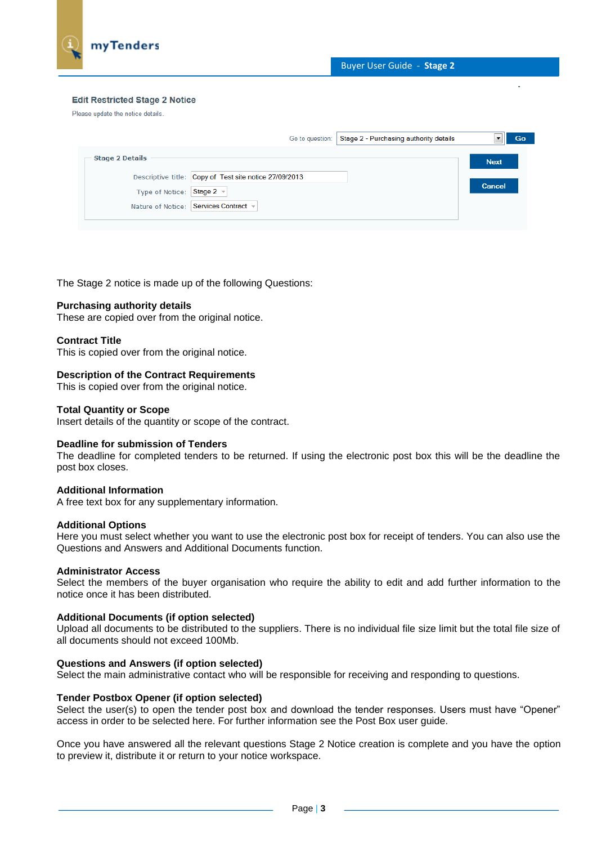

#### **Edit Restricted Stage 2 Notice**

Please update the notice details.

| Stage 2 - Purchasing authority details<br>Go to question: | Go            |
|-----------------------------------------------------------|---------------|
| <b>Stage 2 Details</b>                                    | <b>Next</b>   |
| Descriptive title: Copy of Test site notice 27/09/2013    |               |
| Type of Notice: Stage 2 v                                 | <b>Cancel</b> |
| Nature of Notice: Services Contract                       |               |
|                                                           |               |

The Stage 2 notice is made up of the following Questions:

#### **Purchasing authority details**

These are copied over from the original notice.

#### **Contract Title**

This is copied over from the original notice.

#### **Description of the Contract Requirements**

This is copied over from the original notice.

#### **Total Quantity or Scope**

Insert details of the quantity or scope of the contract.

#### **Deadline for submission of Tenders**

The deadline for completed tenders to be returned. If using the electronic post box this will be the deadline the post box closes.

#### **Additional Information**

A free text box for any supplementary information.

#### **Additional Options**

Here you must select whether you want to use the electronic post box for receipt of tenders. You can also use the Questions and Answers and Additional Documents function.

#### **Administrator Access**

Select the members of the buyer organisation who require the ability to edit and add further information to the notice once it has been distributed.

#### **Additional Documents (if option selected)**

Upload all documents to be distributed to the suppliers. There is no individual file size limit but the total file size of all documents should not exceed 100Mb.

## **Questions and Answers (if option selected)**

Select the main administrative contact who will be responsible for receiving and responding to questions.

### **Tender Postbox Opener (if option selected)**

Select the user(s) to open the tender post box and download the tender responses. Users must have "Opener" access in order to be selected here. For further information see the Post Box user guide.

Once you have answered all the relevant questions Stage 2 Notice creation is complete and you have the option to preview it, distribute it or return to your notice workspace.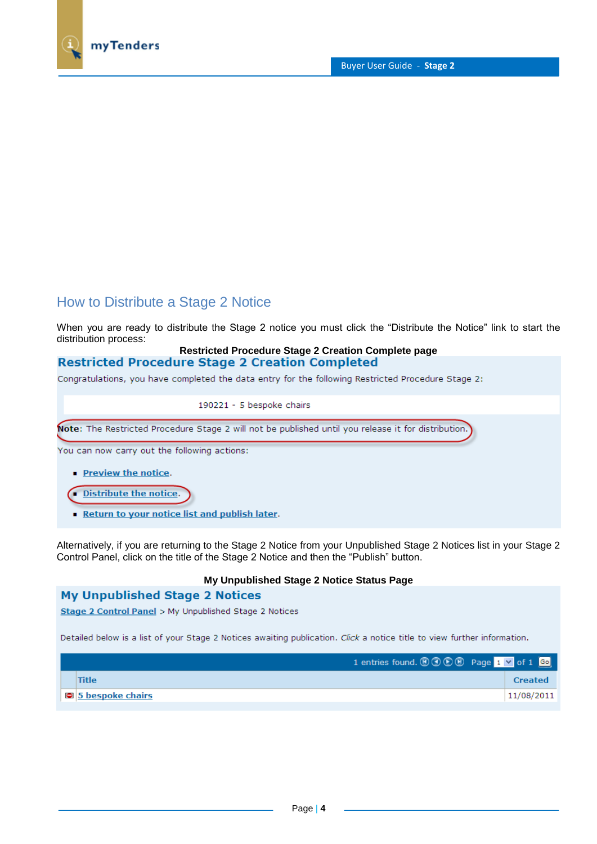

# How to Distribute a Stage 2 Notice

When you are ready to distribute the Stage 2 notice you must click the "Distribute the Notice" link to start the distribution process:

## **Restricted Procedure Stage 2 Creation Complete page Restricted Procedure Stage 2 Creation Completed**

Congratulations, you have completed the data entry for the following Restricted Procedure Stage 2:

190221 - 5 bespoke chairs

Note: The Restricted Procedure Stage 2 will not be published until you release it for distribution.

You can now carry out the following actions:

- Preview the notice.
- Distribute the notice.
- Return to your notice list and publish later.

Alternatively, if you are returning to the Stage 2 Notice from your Unpublished Stage 2 Notices list in your Stage 2 Control Panel, click on the title of the Stage 2 Notice and then the "Publish" button.

## **My Unpublished Stage 2 Notice Status Page**

## **My Unpublished Stage 2 Notices**

Stage 2 Control Panel > My Unpublished Stage 2 Notices

Detailed below is a list of your Stage 2 Notices awaiting publication. Click a notice title to view further information.

| 1 entries found. $\textcircled{0}\textcircled{0}$ Page 1 $\textcircled{1}$ of 1 Go |                |
|------------------------------------------------------------------------------------|----------------|
| Title                                                                              | <b>Created</b> |
| <b>D</b> 5 bespoke chairs                                                          | 11/08/2011     |
|                                                                                    |                |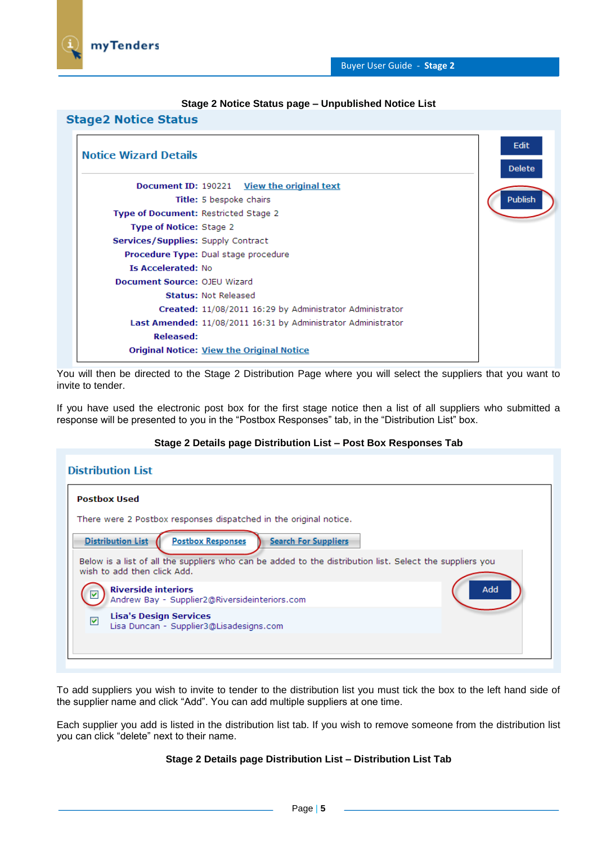

### **Stage 2 Notice Status page – Unpublished Notice List**



You will then be directed to the Stage 2 Distribution Page where you will select the suppliers that you want to invite to tender.

If you have used the electronic post box for the first stage notice then a list of all suppliers who submitted a response will be presented to you in the "Postbox Responses" tab, in the "Distribution List" box.

## **Stage 2 Details page Distribution List – Post Box Responses Tab**

| Distribution List                                                                                                                                                                                                              |  |  |  |  |  |
|--------------------------------------------------------------------------------------------------------------------------------------------------------------------------------------------------------------------------------|--|--|--|--|--|
| <b>Postbox Used</b>                                                                                                                                                                                                            |  |  |  |  |  |
| There were 2 Postbox responses dispatched in the original notice.                                                                                                                                                              |  |  |  |  |  |
| <b>Distribution List</b><br><b>Postbox Responses</b><br><b>Search For Suppliers</b><br>Below is a list of all the suppliers who can be added to the distribution list. Select the suppliers you<br>wish to add then click Add. |  |  |  |  |  |
| <b>Riverside interiors</b><br>Add<br>⊽<br>Andrew Bay - Supplier2@Riversideinteriors.com                                                                                                                                        |  |  |  |  |  |
| <b>Lisa's Design Services</b><br>⊽<br>Lisa Duncan - Supplier3@Lisadesigns.com                                                                                                                                                  |  |  |  |  |  |
|                                                                                                                                                                                                                                |  |  |  |  |  |

To add suppliers you wish to invite to tender to the distribution list you must tick the box to the left hand side of the supplier name and click "Add". You can add multiple suppliers at one time.

Each supplier you add is listed in the distribution list tab. If you wish to remove someone from the distribution list you can click "delete" next to their name.

## **Stage 2 Details page Distribution List – Distribution List Tab**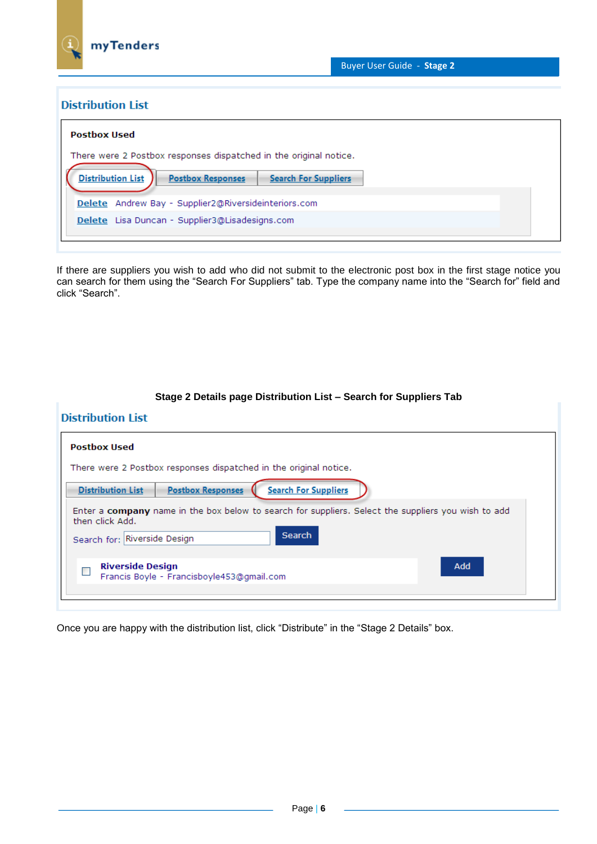

## **Distribution List**

| Postbox Used                                                                                                                                             |  |  |  |  |  |
|----------------------------------------------------------------------------------------------------------------------------------------------------------|--|--|--|--|--|
| There were 2 Postbox responses dispatched in the original notice.<br><b>Distribution List</b><br><b>Postbox Responses</b><br><b>Search For Suppliers</b> |  |  |  |  |  |
| Delete Andrew Bay - Supplier2@Riversideinteriors.com<br>Delete Lisa Duncan - Supplier3@Lisadesigns.com                                                   |  |  |  |  |  |

If there are suppliers you wish to add who did not submit to the electronic post box in the first stage notice you can search for them using the "Search For Suppliers" tab. Type the company name into the "Search for" field and click "Search".

| <b>Distribution List</b>                                                                                                                                         |  |  |  |  |  |
|------------------------------------------------------------------------------------------------------------------------------------------------------------------|--|--|--|--|--|
| <b>Postbox Used</b>                                                                                                                                              |  |  |  |  |  |
| There were 2 Postbox responses dispatched in the original notice.                                                                                                |  |  |  |  |  |
| <b>Search For Suppliers</b><br><b>Postbox Responses</b><br><b>Distribution List</b>                                                                              |  |  |  |  |  |
| Enter a company name in the box below to search for suppliers. Select the suppliers you wish to add<br>then click Add.<br>Search<br>Search for: Riverside Design |  |  |  |  |  |
| Add<br><b>Riverside Design</b><br>Francis Boyle - Francisboyle453@gmail.com                                                                                      |  |  |  |  |  |

# **Stage 2 Details page Distribution List – Search for Suppliers Tab**

Once you are happy with the distribution list, click "Distribute" in the "Stage 2 Details" box.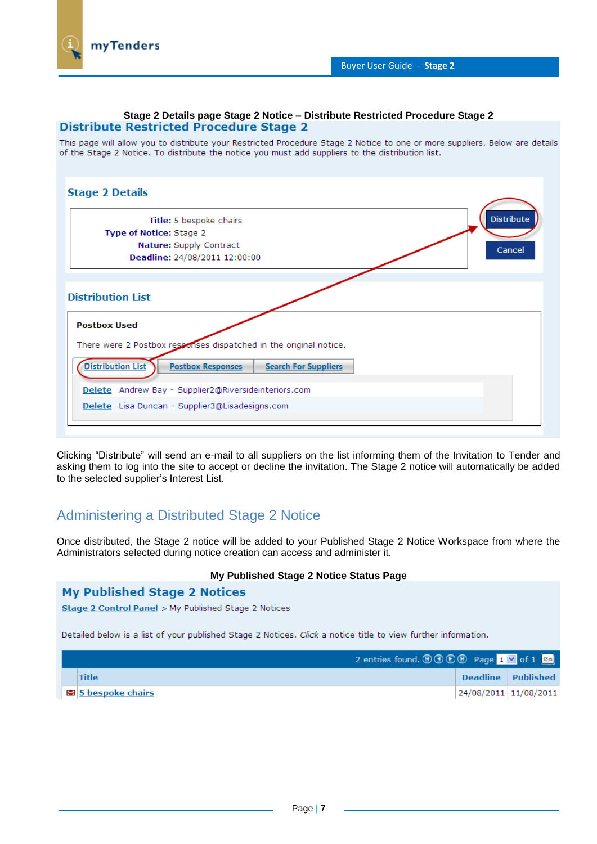## **Stage 2 Details page Stage 2 Notice – Distribute Restricted Procedure Stage 2 Distribute Restricted Procedure Stage 2**

This page will allow you to distribute your Restricted Procedure Stage 2 Notice to one or more suppliers. Below are details of the Stage 2 Notice. To distribute the notice you must add suppliers to the distribution list.

| <b>Stage 2 Details</b>                                                              |
|-------------------------------------------------------------------------------------|
| <b>Distribute</b><br>Title: 5 bespoke chairs                                        |
| Type of Notice: Stage 2                                                             |
| Nature: Supply Contract<br>Cancel                                                   |
| Deadline: 24/08/2011 12:00:00                                                       |
|                                                                                     |
| <b>Distribution List</b>                                                            |
| <b>Postbox Used</b>                                                                 |
| There were 2 Postbox responses dispatched in the original notice.                   |
| <b>Distribution List</b><br><b>Postbox Responses</b><br><b>Search For Suppliers</b> |
| Delete Andrew Bay - Supplier2@Riversideinteriors.com                                |
| Delete Lisa Duncan - Supplier3@Lisadesigns.com                                      |
|                                                                                     |

Clicking "Distribute" will send an e-mail to all suppliers on the list informing them of the Invitation to Tender and asking them to log into the site to accept or decline the invitation. The Stage 2 notice will automatically be added to the selected supplier's Interest List.

# Administering a Distributed Stage 2 Notice

Once distributed, the Stage 2 notice will be added to your Published Stage 2 Notice Workspace from where the Administrators selected during notice creation can access and administer it.

## **My Published Stage 2 Notice Status Page**

## **My Published Stage 2 Notices**

Stage 2 Control Panel > My Published Stage 2 Notices

Detailed below is a list of your published Stage 2 Notices. Click a notice title to view further information.

| 2 entries found. $\textcircled{0}\textcircled{0}\textcircled{0}$ Page 1 $\textcircled{1}$ of 1 Go |                       |
|---------------------------------------------------------------------------------------------------|-----------------------|
| Title                                                                                             | Deadline Published    |
| $\Box$ 5 bespoke chairs                                                                           | 24/08/2011 11/08/2011 |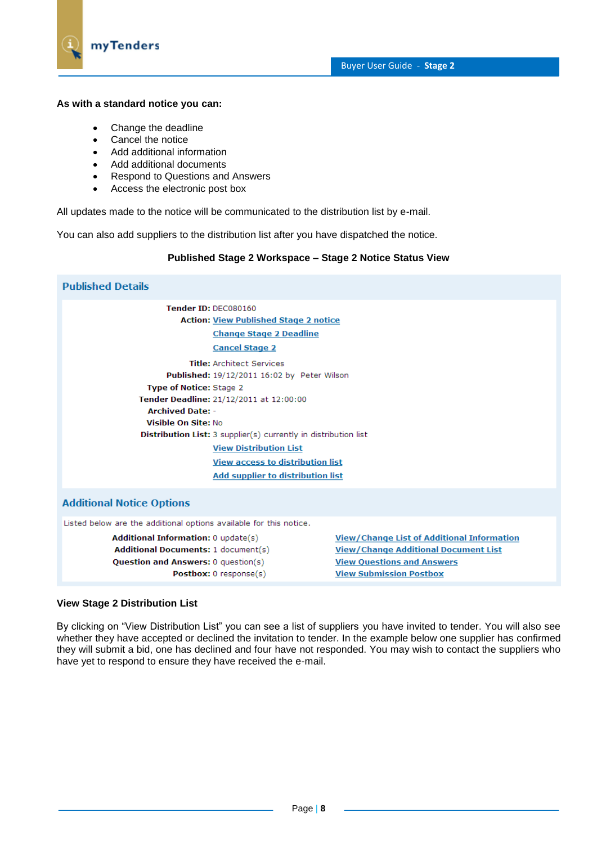

## **As with a standard notice you can:**

- Change the deadline
- Cancel the notice
- Add additional information
- Add additional documents
- Respond to Questions and Answers
- Access the electronic post box

All updates made to the notice will be communicated to the distribution list by e-mail.

You can also add suppliers to the distribution list after you have dispatched the notice.

## **Published Stage 2 Workspace – Stage 2 Notice Status View**

| <b>Published Details</b>                                                                                                                                                                                                                                                                                                                                                                                  |
|-----------------------------------------------------------------------------------------------------------------------------------------------------------------------------------------------------------------------------------------------------------------------------------------------------------------------------------------------------------------------------------------------------------|
| Tender ID: DEC080160<br><b>Action: View Published Stage 2 notice</b><br><b>Change Stage 2 Deadline</b><br><b>Cancel Stage 2</b>                                                                                                                                                                                                                                                                           |
| <b>Title: Architect Services</b><br>Published: 19/12/2011 16:02 by Peter Wilson<br><b>Type of Notice: Stage 2</b><br>Tender Deadline: 21/12/2011 at 12:00:00<br><b>Archived Date: -</b><br>Visible On Site: No<br><b>Distribution List:</b> 3 supplier(s) currently in distribution list<br><b>View Distribution List</b><br><b>View access to distribution list</b><br>Add supplier to distribution list |
| <b>Additional Notice Options</b>                                                                                                                                                                                                                                                                                                                                                                          |
| Listed below are the additional options available for this notice.                                                                                                                                                                                                                                                                                                                                        |
| <b>View/Change List of Additional Information</b><br><b>Additional Information: 0 update(s)</b><br><b>Additional Documents: 1 document(s)</b><br><b>View/Change Additional Document List</b><br><b>Question and Answers: 0 question(s)</b><br><b>View Questions and Answers</b><br>Postbox: 0 response(s)<br><b>View Submission Postbox</b>                                                               |
|                                                                                                                                                                                                                                                                                                                                                                                                           |

## **View Stage 2 Distribution List**

By clicking on "View Distribution List" you can see a list of suppliers you have invited to tender. You will also see whether they have accepted or declined the invitation to tender. In the example below one supplier has confirmed they will submit a bid, one has declined and four have not responded. You may wish to contact the suppliers who have yet to respond to ensure they have received the e-mail.